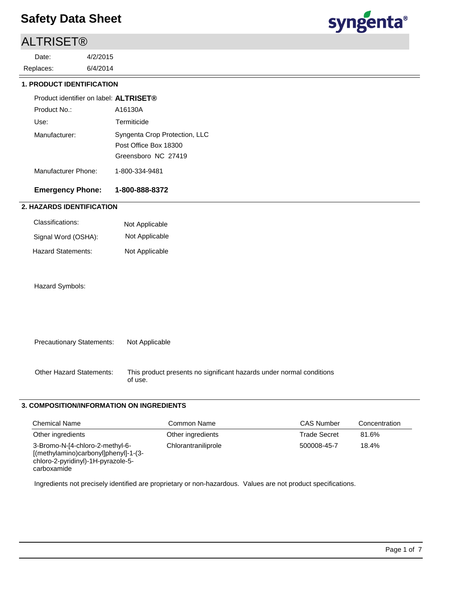## ALTRISET®

6/4/2014 4/2/2015 Replaces: Date:



## **1. PRODUCT IDENTIFICATION**

| Product identifier on label: <b>ALTRISET</b> ® |                                                                               |
|------------------------------------------------|-------------------------------------------------------------------------------|
| Product No.:                                   | A16130A                                                                       |
| Use:                                           | Termiticide                                                                   |
| Manufacturer:                                  | Syngenta Crop Protection, LLC<br>Post Office Box 18300<br>Greensboro NC 27419 |
| Manufacturer Phone:                            | 1-800-334-9481                                                                |

## **Emergency Phone: 1-800-888-8372**

## **2. HAZARDS IDENTIFICATION**

| Classifications:    | Not Applicable |
|---------------------|----------------|
| Signal Word (OSHA): | Not Applicable |
| Hazard Statements:  | Not Applicable |

### Hazard Symbols:

| <b>Precautionary Statements:</b> | Not Applicable |
|----------------------------------|----------------|
|                                  |                |
|                                  |                |

This product presents no significant hazards under normal conditions of use. Other Hazard Statements:

## **3. COMPOSITION/INFORMATION ON INGREDIENTS**

| <b>Chemical Name</b>                                                                                                         | Common Name         | <b>CAS Number</b>   | Concentration |
|------------------------------------------------------------------------------------------------------------------------------|---------------------|---------------------|---------------|
| Other ingredients                                                                                                            | Other ingredients   | <b>Trade Secret</b> | 81.6%         |
| 3-Bromo-N-[4-chloro-2-methyl-6-<br>[(methylamino)carbonyl]phenyl]-1-(3-<br>chloro-2-pyridinyl)-1H-pyrazole-5-<br>carboxamide | Chlorantraniliprole | 500008-45-7         | 18.4%         |

Ingredients not precisely identified are proprietary or non-hazardous. Values are not product specifications.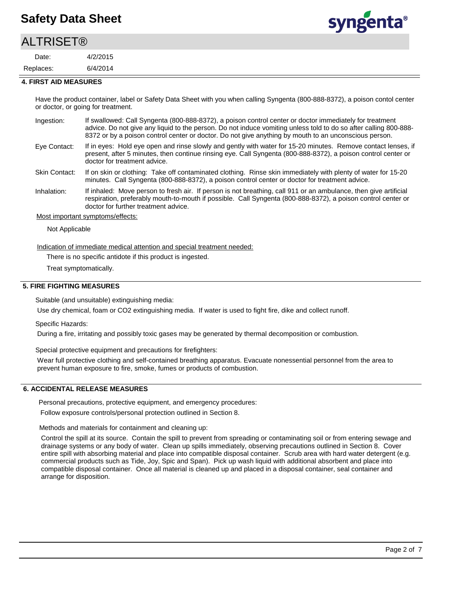## **ALTRISET®**

6/4/2014 4/2/2015 Replaces: Date:



#### **4. FIRST AID MEASURES**

Have the product container, label or Safety Data Sheet with you when calling Syngenta (800-888-8372), a poison contol center or doctor, or going for treatment.

| Ingestion:   | If swallowed: Call Syngenta (800-888-8372), a poison control center or doctor immediately for treatment          |
|--------------|------------------------------------------------------------------------------------------------------------------|
|              | advice. Do not give any liquid to the person. Do not induce vomiting unless told to do so after calling 800-888- |
|              | 8372 or by a poison control center or doctor. Do not give anything by mouth to an unconscious person.            |
| Eve Contact: | If in eyes: Hold eye open and rinse slowly and gently with water for 15-20 minutes. Remove contact lenses, if    |

If in eyes: Hold eye open and rinse slowly and gently with water for 15-20 minutes. Remove contact lenses, if present, after 5 minutes, then continue rinsing eye. Call Syngenta (800-888-8372), a poison control center or doctor for treatment advice. Eye Contact:

If on skin or clothing: Take off contaminated clothing. Rinse skin immediately with plenty of water for 15-20 minutes. Call Syngenta (800-888-8372), a poison control center or doctor for treatment advice. Skin Contact:

If inhaled: Move person to fresh air. If person is not breathing, call 911 or an ambulance, then give artificial respiration, preferably mouth-to-mouth if possible. Call Syngenta (800-888-8372), a poison control center or doctor for further treatment advice. Inhalation:

Most important symptoms/effects:

Not Applicable

Indication of immediate medical attention and special treatment needed:

There is no specific antidote if this product is ingested.

Treat symptomatically.

## **5. FIRE FIGHTING MEASURES**

Suitable (and unsuitable) extinguishing media:

Use dry chemical, foam or CO2 extinguishing media. If water is used to fight fire, dike and collect runoff.

Specific Hazards:

During a fire, irritating and possibly toxic gases may be generated by thermal decomposition or combustion.

Special protective equipment and precautions for firefighters:

Wear full protective clothing and self-contained breathing apparatus. Evacuate nonessential personnel from the area to prevent human exposure to fire, smoke, fumes or products of combustion.

### **6. ACCIDENTAL RELEASE MEASURES**

Personal precautions, protective equipment, and emergency procedures:

Follow exposure controls/personal protection outlined in Section 8.

Methods and materials for containment and cleaning up:

Control the spill at its source. Contain the spill to prevent from spreading or contaminating soil or from entering sewage and drainage systems or any body of water. Clean up spills immediately, observing precautions outlined in Section 8. Cover entire spill with absorbing material and place into compatible disposal container. Scrub area with hard water detergent (e.g. commercial products such as Tide, Joy, Spic and Span). Pick up wash liquid with additional absorbent and place into compatible disposal container. Once all material is cleaned up and placed in a disposal container, seal container and arrange for disposition.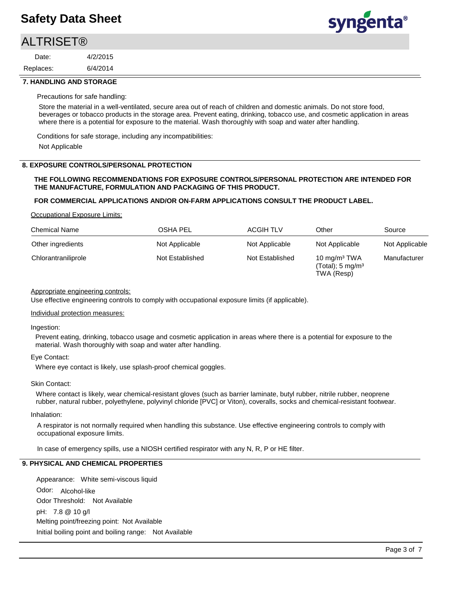## **ALTRISET®**

6/4/2014 4/2/2015 Replaces: Date:



### **7. HANDLING AND STORAGE**

Precautions for safe handling:

Store the material in a well-ventilated, secure area out of reach of children and domestic animals. Do not store food, beverages or tobacco products in the storage area. Prevent eating, drinking, tobacco use, and cosmetic application in areas where there is a potential for exposure to the material. Wash thoroughly with soap and water after handling.

Conditions for safe storage, including any incompatibilities:

Not Applicable

### **8. EXPOSURE CONTROLS/PERSONAL PROTECTION**

### **THE FOLLOWING RECOMMENDATIONS FOR EXPOSURE CONTROLS/PERSONAL PROTECTION ARE INTENDED FOR THE MANUFACTURE, FORMULATION AND PACKAGING OF THIS PRODUCT.**

### **FOR COMMERCIAL APPLICATIONS AND/OR ON-FARM APPLICATIONS CONSULT THE PRODUCT LABEL.**

Occupational Exposure Limits:

| <b>Chemical Name</b> | OSHA PEL        | <b>ACGIH TLV</b> | Other                                                                     | Source         |
|----------------------|-----------------|------------------|---------------------------------------------------------------------------|----------------|
| Other ingredients    | Not Applicable  | Not Applicable   | Not Applicable                                                            | Not Applicable |
| Chlorantraniliprole  | Not Established | Not Established  | 10 mg/m <sup>3</sup> TWA<br>$(Total)$ ; 5 mg/m <sup>3</sup><br>TWA (Resp) | Manufacturer   |

#### Appropriate engineering controls:

Use effective engineering controls to comply with occupational exposure limits (if applicable).

#### Individual protection measures:

Ingestion:

Prevent eating, drinking, tobacco usage and cosmetic application in areas where there is a potential for exposure to the material. Wash thoroughly with soap and water after handling.

### Eye Contact:

Where eye contact is likely, use splash-proof chemical goggles.

### Skin Contact:

Where contact is likely, wear chemical-resistant gloves (such as barrier laminate, butyl rubber, nitrile rubber, neoprene rubber, natural rubber, polyethylene, polyvinyl chloride [PVC] or Viton), coveralls, socks and chemical-resistant footwear.

#### Inhalation:

A respirator is not normally required when handling this substance. Use effective engineering controls to comply with occupational exposure limits.

In case of emergency spills, use a NIOSH certified respirator with any N, R, P or HE filter.

## **9. PHYSICAL AND CHEMICAL PROPERTIES**

Odor: Alcohol-like Appearance: White semi-viscous liquid pH: 7.8 @ 10 g/l Initial boiling point and boiling range: Not Available Melting point/freezing point: Not Available Odor Threshold: Not Available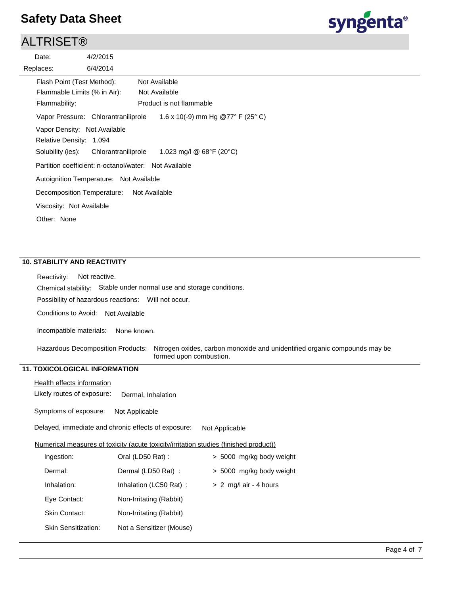## ALTRISET®

| Date:                        | 4/2/2015                                |                                                       |
|------------------------------|-----------------------------------------|-------------------------------------------------------|
| Replaces:                    | 6/4/2014                                |                                                       |
| Flash Point (Test Method):   |                                         | Not Available                                         |
| Flammable Limits (% in Air): |                                         | Not Available                                         |
| Flammability:                |                                         | Product is not flammable                              |
|                              | Vapor Pressure: Chlorantraniliprole     | 1.6 x 10(-9) mm Hg @77° F (25° C)                     |
| Vapor Density: Not Available |                                         |                                                       |
| Relative Density: 1.094      |                                         |                                                       |
| Solubility (ies):            | Chlorantraniliprole                     | 1.023 mg/l @ 68°F (20°C)                              |
|                              |                                         | Partition coefficient: n-octanol/water: Not Available |
|                              | Autoignition Temperature: Not Available |                                                       |
| Decomposition Temperature:   |                                         | Not Available                                         |
| Viscosity: Not Available     |                                         |                                                       |
| Other: None                  |                                         |                                                       |
|                              |                                         |                                                       |

## **10. STABILITY AND REACTIVITY**

Chemical stability: Stable under normal use and storage conditions. Reactivity: Not reactive.

Possibility of hazardous reactions: Will not occur.

Conditions to Avoid: Not Available

Incompatible materials: None known.

Nitrogen oxides, carbon monoxide and unidentified organic compounds may be formed upon combustion. Hazardous Decomposition Products:

## **11. TOXICOLOGICAL INFORMATION**

Health effects information

Likely routes of exposure: Dermal, Inhalation

Symptoms of exposure: Not Applicable

Delayed, immediate and chronic effects of exposure: Not Applicable

Numerical measures of toxicity (acute toxicity/irritation studies (finished product))

| Ingestion:                 | Oral (LD50 Rat):         | > 5000 mg/kg body weight |
|----------------------------|--------------------------|--------------------------|
| Dermal:                    | Dermal (LD50 Rat):       | > 5000 mg/kg body weight |
| Inhalation:                | Inhalation (LC50 Rat):   | $> 2$ mg/l air - 4 hours |
| Eye Contact:               | Non-Irritating (Rabbit)  |                          |
| Skin Contact:              | Non-Irritating (Rabbit)  |                          |
| <b>Skin Sensitization:</b> | Not a Sensitizer (Mouse) |                          |

syngenta®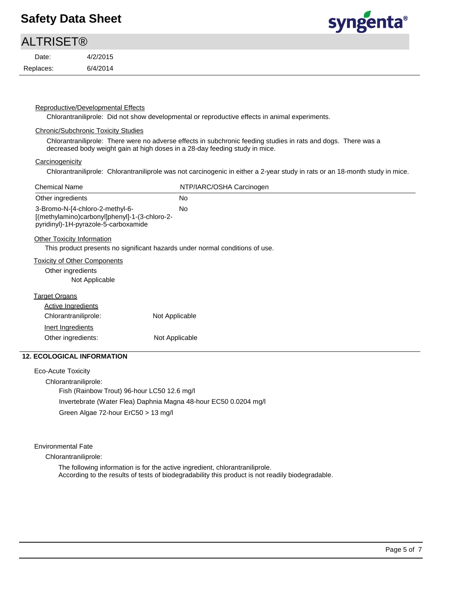# **ALTRISET®**

Replaces: Date:

6/4/2014 4/2/2015



### Reproductive/Developmental Effects

Chlorantraniliprole: Did not show developmental or reproductive effects in animal experiments.

### Chronic/Subchronic Toxicity Studies

Chlorantraniliprole: There were no adverse effects in subchronic feeding studies in rats and dogs. There was a decreased body weight gain at high doses in a 28-day feeding study in mice.

### **Carcinogenicity**

Chlorantraniliprole: Chlorantraniliprole was not carcinogenic in either a 2-year study in rats or an 18-month study in mice.

| <b>Chemical Name</b>                                                                                                     | NTP/IARC/OSHA Carcinogen |
|--------------------------------------------------------------------------------------------------------------------------|--------------------------|
| Other ingredients                                                                                                        | No.                      |
| 3-Bromo-N-[4-chloro-2-methyl-6-<br>[(methylamino)carbonyl]phenyl]-1-(3-chloro-2-<br>pyridinyl)-1H-pyrazole-5-carboxamide | No.                      |
| <b>Other Toxicity Information</b>                                                                                        |                          |
| This product presents no significant hazards under normal conditions of use.                                             |                          |
| <b>Toxicity of Other Components</b>                                                                                      |                          |
| Other ingredients                                                                                                        |                          |
| Not Applicable                                                                                                           |                          |
| <b>Target Organs</b>                                                                                                     |                          |
| Active Ingredients                                                                                                       |                          |
| Chlorantraniliprole:<br>Not Applicable                                                                                   |                          |
| Inert Ingredients                                                                                                        |                          |
| Other ingredients:                                                                                                       | Not Applicable           |
| <b>12. ECOLOGICAL INFORMATION</b>                                                                                        |                          |
| Eco-Acute Toxicity                                                                                                       |                          |

Chlorantraniliprole: Fish (Rainbow Trout) 96-hour LC50 12.6 mg/l Invertebrate (Water Flea) Daphnia Magna 48-hour EC50 0.0204 mg/l Green Algae 72-hour ErC50 > 13 mg/l

Environmental Fate

Chlorantraniliprole:

The following information is for the active ingredient, chlorantraniliprole. According to the results of tests of biodegradability this product is not readily biodegradable.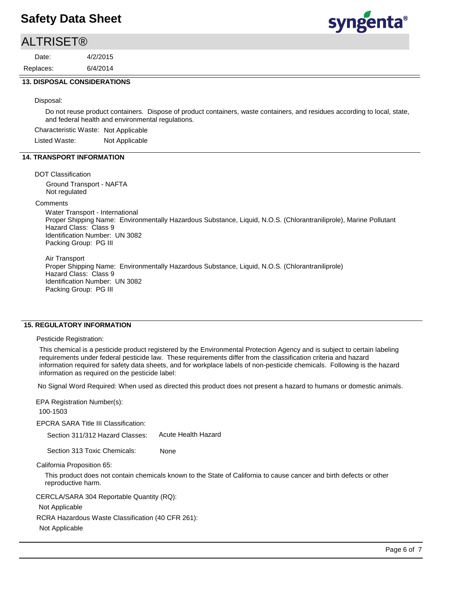## **ALTRISET®**

6/4/2014 4/2/2015 Replaces: Date:



### **13. DISPOSAL CONSIDERATIONS**

#### Disposal:

Do not reuse product containers. Dispose of product containers, waste containers, and residues according to local, state, and federal health and environmental regulations.

Characteristic Waste: Not Applicable

Listed Waste: Not Applicable

### **14. TRANSPORT INFORMATION**

#### DOT Classification

Ground Transport - NAFTA Not regulated

#### **Comments**

Water Transport - International Proper Shipping Name: Environmentally Hazardous Substance, Liquid, N.O.S. (Chlorantraniliprole), Marine Pollutant Hazard Class: Class 9 Identification Number: UN 3082 Packing Group: PG III

Air Transport

Proper Shipping Name: Environmentally Hazardous Substance, Liquid, N.O.S. (Chlorantraniliprole) Hazard Class: Class 9 Identification Number: UN 3082 Packing Group: PG III

## **15. REGULATORY INFORMATION**

### Pesticide Registration:

This chemical is a pesticide product registered by the Environmental Protection Agency and is subject to certain labeling requirements under federal pesticide law. These requirements differ from the classification criteria and hazard information required for safety data sheets, and for workplace labels of non-pesticide chemicals. Following is the hazard information as required on the pesticide label:

No Signal Word Required: When used as directed this product does not present a hazard to humans or domestic animals.

EPCRA SARA Title III Classification: Section 311/312 Hazard Classes: EPA Registration Number(s): 100-1503

Acute Health Hazard

Section 313 Toxic Chemicals: None

California Proposition 65:

This product does not contain chemicals known to the State of California to cause cancer and birth defects or other reproductive harm.

CERCLA/SARA 304 Reportable Quantity (RQ):

Not Applicable

RCRA Hazardous Waste Classification (40 CFR 261):

Not Applicable